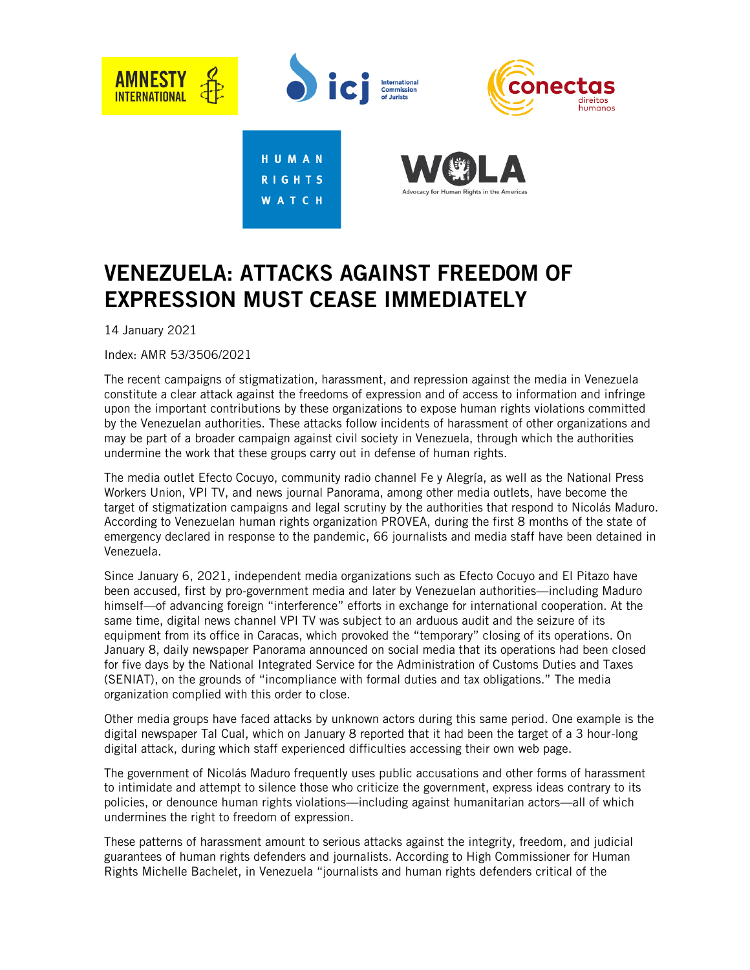

## VENEZUELA: ATTACKS AGAINST FREEDOM OF EXPRESSION MUST CEASE IMMEDIATELY

14 January 2021

Index: AMR 53/3506/2021

The recent campaigns of stigmatization, harassment, and repression against the media in Venezuela constitute a clear attack against the freedoms of expression and of access to information and infringe upon the important contributions by these organizations to expose human rights violations committed by the Venezuelan authorities. These attacks follow incidents of harassment of other organizations and may be part of a broader campaign against civil society in Venezuela, through which the authorities undermine the work that these groups carry out in defense of human rights.

The media outlet Efecto Cocuyo, community radio channel Fe y Alegría, as well as the National Press Workers Union, VPI TV, and news journal Panorama, among other media outlets, have become the target of stigmatization campaigns and legal scrutiny by the authorities that respond to Nicolás Maduro. According to Venezuelan human rights organization PROVEA, during the first 8 months of the state of emergency declared in response to the pandemic, 66 journalists and media staff have been detained in Venezuela.

Since January 6, 2021, independent media organizations such as Efecto Cocuyo and El Pitazo have been accused, first by pro-government media and later by Venezuelan authorities—including Maduro himself—of advancing foreign "interference" efforts in exchange for international cooperation. At the same time, digital news channel VPI TV was subject to an arduous audit and the seizure of its equipment from its office in Caracas, which provoked the "temporary" closing of its operations. On January 8, daily newspaper Panorama announced on social media that its operations had been closed for five days by the National Integrated Service for the Administration of Customs Duties and Taxes (SENIAT), on the grounds of "incompliance with formal duties and tax obligations." The media organization complied with this order to close.

Other media groups have faced attacks by unknown actors during this same period. One example is the digital newspaper Tal Cual, which on January 8 reported that it had been the target of a 3 hour-long digital attack, during which staff experienced difficulties accessing their own web page.

The government of Nicolás Maduro frequently uses public accusations and other forms of harassment to intimidate and attempt to silence those who criticize the government, express ideas contrary to its policies, or denounce human rights violations—including against humanitarian actors—all of which undermines the right to freedom of expression.

These patterns of harassment amount to serious attacks against the integrity, freedom, and judicial guarantees of human rights defenders and journalists. According to High Commissioner for Human Rights Michelle Bachelet, in Venezuela "journalists and human rights defenders critical of the